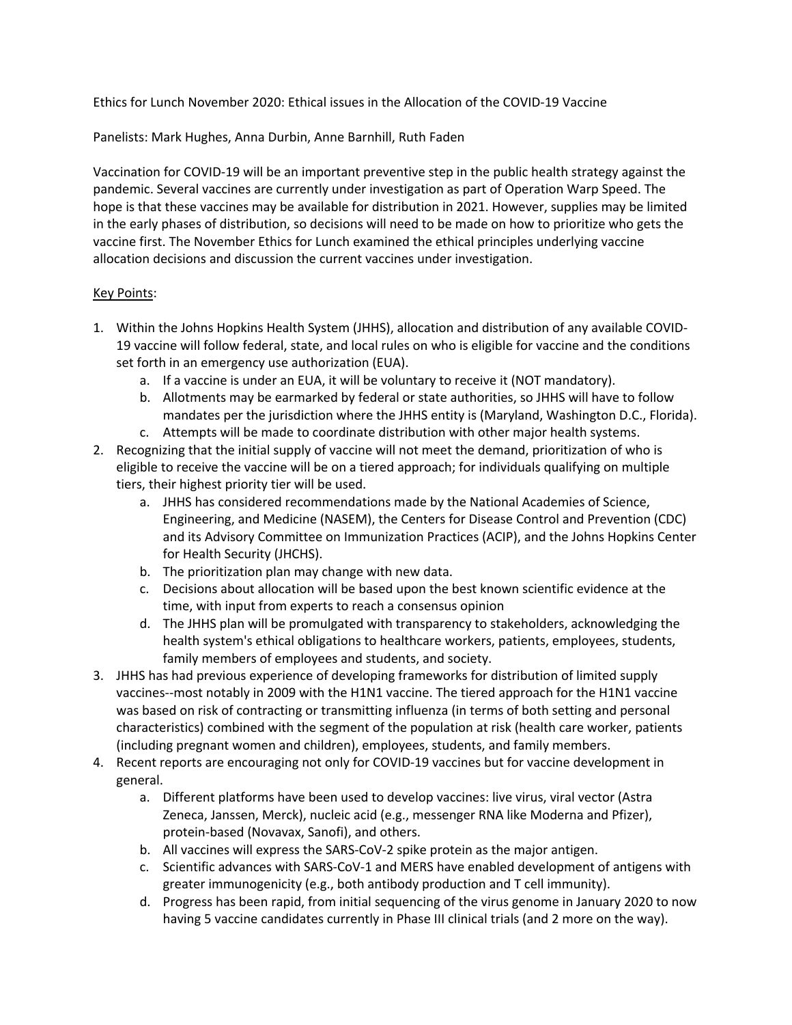Ethics for Lunch November 2020: Ethical issues in the Allocation of the COVID-19 Vaccine

Panelists: Mark Hughes, Anna Durbin, Anne Barnhill, Ruth Faden

Vaccination for COVID-19 will be an important preventive step in the public health strategy against the pandemic. Several vaccines are currently under investigation as part of Operation Warp Speed. The hope is that these vaccines may be available for distribution in 2021. However, supplies may be limited in the early phases of distribution, so decisions will need to be made on how to prioritize who gets the vaccine first. The November Ethics for Lunch examined the ethical principles underlying vaccine allocation decisions and discussion the current vaccines under investigation.

## Key Points:

- 1. Within the Johns Hopkins Health System (JHHS), allocation and distribution of any available COVID-19 vaccine will follow federal, state, and local rules on who is eligible for vaccine and the conditions set forth in an emergency use authorization (EUA).
	- a. If a vaccine is under an EUA, it will be voluntary to receive it (NOT mandatory).
	- b. Allotments may be earmarked by federal or state authorities, so JHHS will have to follow mandates per the jurisdiction where the JHHS entity is (Maryland, Washington D.C., Florida).
	- c. Attempts will be made to coordinate distribution with other major health systems.
- 2. Recognizing that the initial supply of vaccine will not meet the demand, prioritization of who is eligible to receive the vaccine will be on a tiered approach; for individuals qualifying on multiple tiers, their highest priority tier will be used.
	- a. JHHS has considered recommendations made by the National Academies of Science, Engineering, and Medicine (NASEM), the Centers for Disease Control and Prevention (CDC) and its Advisory Committee on Immunization Practices (ACIP), and the Johns Hopkins Center for Health Security (JHCHS).
	- b. The prioritization plan may change with new data.
	- c. Decisions about allocation will be based upon the best known scientific evidence at the time, with input from experts to reach a consensus opinion
	- d. The JHHS plan will be promulgated with transparency to stakeholders, acknowledging the health system's ethical obligations to healthcare workers, patients, employees, students, family members of employees and students, and society.
- 3. JHHS has had previous experience of developing frameworks for distribution of limited supply vaccines--most notably in 2009 with the H1N1 vaccine. The tiered approach for the H1N1 vaccine was based on risk of contracting or transmitting influenza (in terms of both setting and personal characteristics) combined with the segment of the population at risk (health care worker, patients (including pregnant women and children), employees, students, and family members.
- 4. Recent reports are encouraging not only for COVID-19 vaccines but for vaccine development in general.
	- a. Different platforms have been used to develop vaccines: live virus, viral vector (Astra Zeneca, Janssen, Merck), nucleic acid (e.g., messenger RNA like Moderna and Pfizer), protein-based (Novavax, Sanofi), and others.
	- b. All vaccines will express the SARS-CoV-2 spike protein as the major antigen.
	- c. Scientific advances with SARS-CoV-1 and MERS have enabled development of antigens with greater immunogenicity (e.g., both antibody production and T cell immunity).
	- d. Progress has been rapid, from initial sequencing of the virus genome in January 2020 to now having 5 vaccine candidates currently in Phase III clinical trials (and 2 more on the way).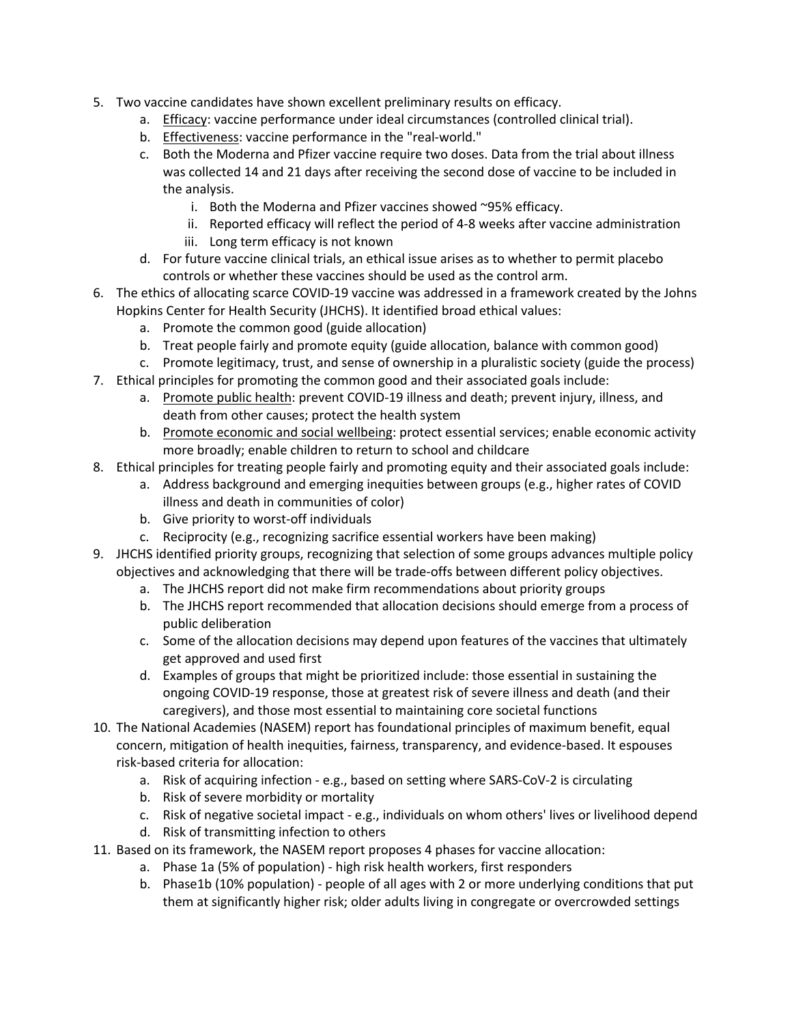- 5. Two vaccine candidates have shown excellent preliminary results on efficacy.
	- a. Efficacy: vaccine performance under ideal circumstances (controlled clinical trial).
	- b. Effectiveness: vaccine performance in the "real-world."
	- c. Both the Moderna and Pfizer vaccine require two doses. Data from the trial about illness was collected 14 and 21 days after receiving the second dose of vaccine to be included in the analysis.
		- i. Both the Moderna and Pfizer vaccines showed ~95% efficacy.
		- ii. Reported efficacy will reflect the period of 4-8 weeks after vaccine administration
		- iii. Long term efficacy is not known
	- d. For future vaccine clinical trials, an ethical issue arises as to whether to permit placebo controls or whether these vaccines should be used as the control arm.
- 6. The ethics of allocating scarce COVID-19 vaccine was addressed in a framework created by the Johns Hopkins Center for Health Security (JHCHS). It identified broad ethical values:
	- a. Promote the common good (guide allocation)
	- b. Treat people fairly and promote equity (guide allocation, balance with common good)
- c. Promote legitimacy, trust, and sense of ownership in a pluralistic society (guide the process) 7. Ethical principles for promoting the common good and their associated goals include:
	- a. Promote public health: prevent COVID-19 illness and death; prevent injury, illness, and death from other causes; protect the health system
	- b. Promote economic and social wellbeing: protect essential services; enable economic activity more broadly; enable children to return to school and childcare
- 8. Ethical principles for treating people fairly and promoting equity and their associated goals include:
	- a. Address background and emerging inequities between groups (e.g., higher rates of COVID illness and death in communities of color)
	- b. Give priority to worst-off individuals
	- c. Reciprocity (e.g., recognizing sacrifice essential workers have been making)
- 9. JHCHS identified priority groups, recognizing that selection of some groups advances multiple policy objectives and acknowledging that there will be trade-offs between different policy objectives.
	- a. The JHCHS report did not make firm recommendations about priority groups
	- b. The JHCHS report recommended that allocation decisions should emerge from a process of public deliberation
	- c. Some of the allocation decisions may depend upon features of the vaccines that ultimately get approved and used first
	- d. Examples of groups that might be prioritized include: those essential in sustaining the ongoing COVID-19 response, those at greatest risk of severe illness and death (and their caregivers), and those most essential to maintaining core societal functions
- 10. The National Academies (NASEM) report has foundational principles of maximum benefit, equal concern, mitigation of health inequities, fairness, transparency, and evidence-based. It espouses risk-based criteria for allocation:
	- a. Risk of acquiring infection e.g., based on setting where SARS-CoV-2 is circulating
	- b. Risk of severe morbidity or mortality
	- c. Risk of negative societal impact e.g., individuals on whom others' lives or livelihood depend
	- d. Risk of transmitting infection to others
- 11. Based on its framework, the NASEM report proposes 4 phases for vaccine allocation:
	- a. Phase 1a (5% of population) high risk health workers, first responders
	- b. Phase1b (10% population) people of all ages with 2 or more underlying conditions that put them at significantly higher risk; older adults living in congregate or overcrowded settings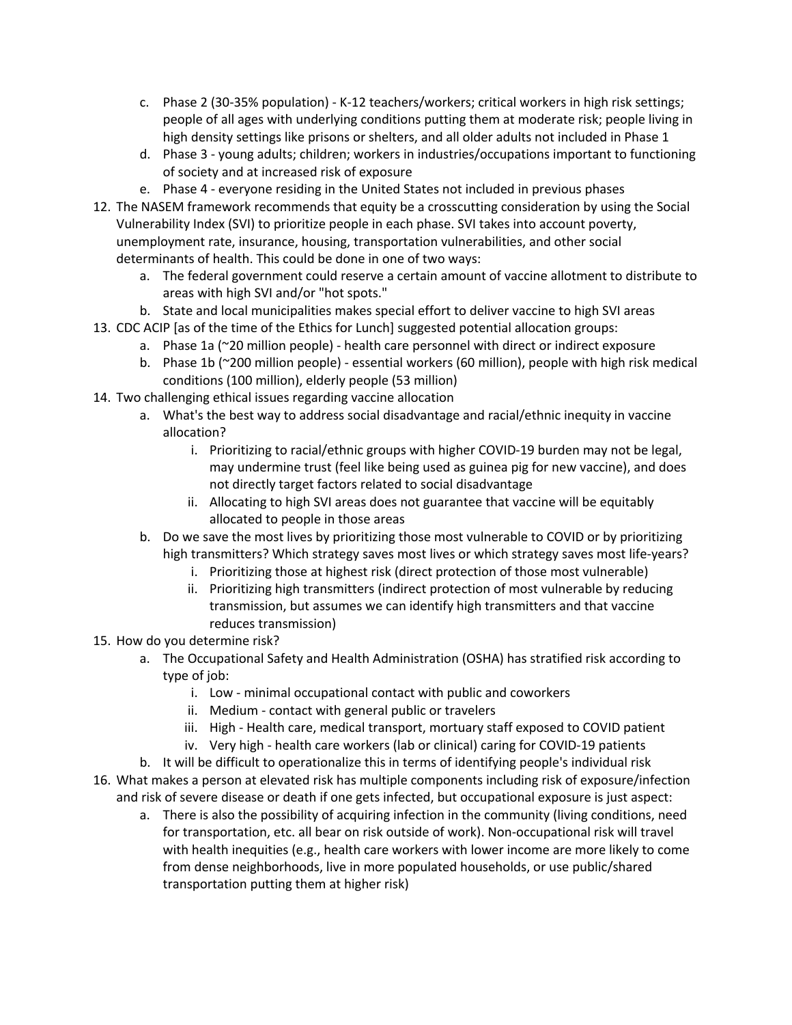- c. Phase 2 (30-35% population) K-12 teachers/workers; critical workers in high risk settings; people of all ages with underlying conditions putting them at moderate risk; people living in high density settings like prisons or shelters, and all older adults not included in Phase 1
- d. Phase 3 young adults; children; workers in industries/occupations important to functioning of society and at increased risk of exposure
- e. Phase 4 everyone residing in the United States not included in previous phases
- 12. The NASEM framework recommends that equity be a crosscutting consideration by using the Social Vulnerability Index (SVI) to prioritize people in each phase. SVI takes into account poverty, unemployment rate, insurance, housing, transportation vulnerabilities, and other social determinants of health. This could be done in one of two ways:
	- a. The federal government could reserve a certain amount of vaccine allotment to distribute to areas with high SVI and/or "hot spots."
	- b. State and local municipalities makes special effort to deliver vaccine to high SVI areas
- 13. CDC ACIP [as of the time of the Ethics for Lunch] suggested potential allocation groups:
	- a. Phase 1a (~20 million people) health care personnel with direct or indirect exposure
	- b. Phase 1b (~200 million people) essential workers (60 million), people with high risk medical conditions (100 million), elderly people (53 million)
- 14. Two challenging ethical issues regarding vaccine allocation
	- a. What's the best way to address social disadvantage and racial/ethnic inequity in vaccine allocation?
		- i. Prioritizing to racial/ethnic groups with higher COVID-19 burden may not be legal, may undermine trust (feel like being used as guinea pig for new vaccine), and does not directly target factors related to social disadvantage
		- ii. Allocating to high SVI areas does not guarantee that vaccine will be equitably allocated to people in those areas
	- b. Do we save the most lives by prioritizing those most vulnerable to COVID or by prioritizing high transmitters? Which strategy saves most lives or which strategy saves most life-years?
		- i. Prioritizing those at highest risk (direct protection of those most vulnerable)
		- ii. Prioritizing high transmitters (indirect protection of most vulnerable by reducing transmission, but assumes we can identify high transmitters and that vaccine reduces transmission)
- 15. How do you determine risk?
	- a. The Occupational Safety and Health Administration (OSHA) has stratified risk according to type of job:
		- i. Low minimal occupational contact with public and coworkers
		- ii. Medium contact with general public or travelers
		- iii. High Health care, medical transport, mortuary staff exposed to COVID patient
		- iv. Very high health care workers (lab or clinical) caring for COVID-19 patients
	- b. It will be difficult to operationalize this in terms of identifying people's individual risk
- 16. What makes a person at elevated risk has multiple components including risk of exposure/infection and risk of severe disease or death if one gets infected, but occupational exposure is just aspect:
	- a. There is also the possibility of acquiring infection in the community (living conditions, need for transportation, etc. all bear on risk outside of work). Non-occupational risk will travel with health inequities (e.g., health care workers with lower income are more likely to come from dense neighborhoods, live in more populated households, or use public/shared transportation putting them at higher risk)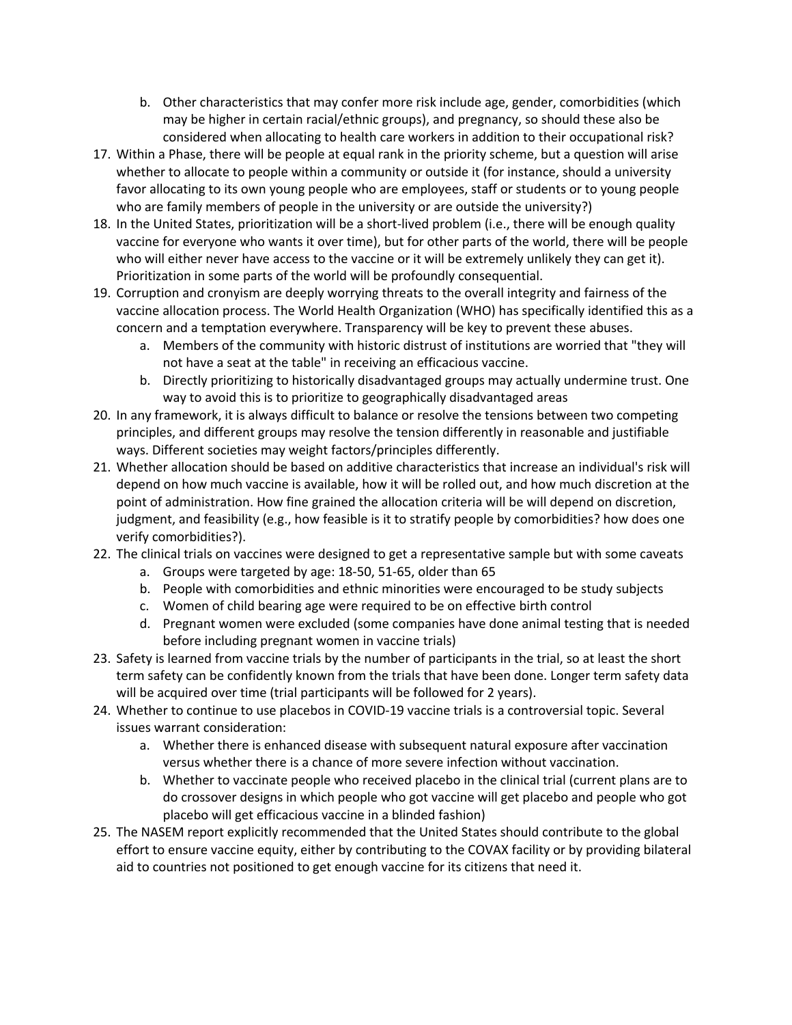- b. Other characteristics that may confer more risk include age, gender, comorbidities (which may be higher in certain racial/ethnic groups), and pregnancy, so should these also be considered when allocating to health care workers in addition to their occupational risk?
- 17. Within a Phase, there will be people at equal rank in the priority scheme, but a question will arise whether to allocate to people within a community or outside it (for instance, should a university favor allocating to its own young people who are employees, staff or students or to young people who are family members of people in the university or are outside the university?)
- 18. In the United States, prioritization will be a short-lived problem (i.e., there will be enough quality vaccine for everyone who wants it over time), but for other parts of the world, there will be people who will either never have access to the vaccine or it will be extremely unlikely they can get it). Prioritization in some parts of the world will be profoundly consequential.
- 19. Corruption and cronyism are deeply worrying threats to the overall integrity and fairness of the vaccine allocation process. The World Health Organization (WHO) has specifically identified this as a concern and a temptation everywhere. Transparency will be key to prevent these abuses.
	- a. Members of the community with historic distrust of institutions are worried that "they will not have a seat at the table" in receiving an efficacious vaccine.
	- b. Directly prioritizing to historically disadvantaged groups may actually undermine trust. One way to avoid this is to prioritize to geographically disadvantaged areas
- 20. In any framework, it is always difficult to balance or resolve the tensions between two competing principles, and different groups may resolve the tension differently in reasonable and justifiable ways. Different societies may weight factors/principles differently.
- 21. Whether allocation should be based on additive characteristics that increase an individual's risk will depend on how much vaccine is available, how it will be rolled out, and how much discretion at the point of administration. How fine grained the allocation criteria will be will depend on discretion, judgment, and feasibility (e.g., how feasible is it to stratify people by comorbidities? how does one verify comorbidities?).
- 22. The clinical trials on vaccines were designed to get a representative sample but with some caveats
	- a. Groups were targeted by age: 18-50, 51-65, older than 65
	- b. People with comorbidities and ethnic minorities were encouraged to be study subjects
	- c. Women of child bearing age were required to be on effective birth control
	- d. Pregnant women were excluded (some companies have done animal testing that is needed before including pregnant women in vaccine trials)
- 23. Safety is learned from vaccine trials by the number of participants in the trial, so at least the short term safety can be confidently known from the trials that have been done. Longer term safety data will be acquired over time (trial participants will be followed for 2 years).
- 24. Whether to continue to use placebos in COVID-19 vaccine trials is a controversial topic. Several issues warrant consideration:
	- a. Whether there is enhanced disease with subsequent natural exposure after vaccination versus whether there is a chance of more severe infection without vaccination.
	- b. Whether to vaccinate people who received placebo in the clinical trial (current plans are to do crossover designs in which people who got vaccine will get placebo and people who got placebo will get efficacious vaccine in a blinded fashion)
- 25. The NASEM report explicitly recommended that the United States should contribute to the global effort to ensure vaccine equity, either by contributing to the COVAX facility or by providing bilateral aid to countries not positioned to get enough vaccine for its citizens that need it.